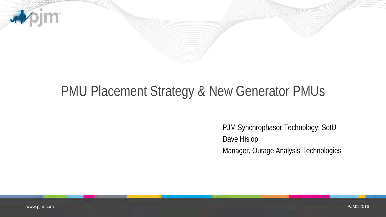

## PMU Placement Strategy & New Generator PMUs

PJM Synchrophasor Technology: SotU Dave Hislop Manager, Outage Analysis Technologies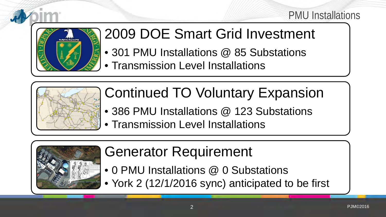#### PMU Installations



# 2009 DOE Smart Grid Investment

- 301 PMU Installations @ 85 Substations
- Transmission Level Installations



- Continued TO Voluntary Expansion
- 386 PMU Installations @ 123 Substations
- Transmission Level Installations



# Generator Requirement

- 0 PMU Installations @ 0 Substations
- York 2 (12/1/2016 sync) anticipated to be first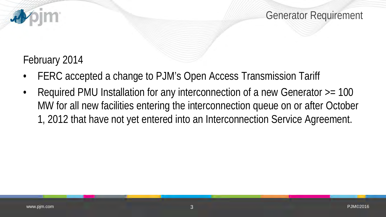

#### February 2014

- FERC accepted a change to PJM's Open Access Transmission Tariff
- Required PMU Installation for any interconnection of a new Generator >= 100 MW for all new facilities entering the interconnection queue on or after October 1, 2012 that have not yet entered into an Interconnection Service Agreement.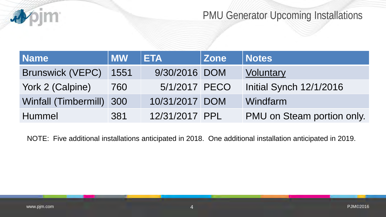

### PMU Generator Upcoming Installations

| <b>Name</b>              | <b>MW</b> | <b>ETA</b>     | <b>Zone</b> | <b>Notes</b>               |
|--------------------------|-----------|----------------|-------------|----------------------------|
| <b>Brunswick (VEPC)</b>  | 1551      | 9/30/2016 DOM  |             | Voluntary                  |
| York 2 (Calpine)         | 760       | 5/1/2017 PECO  |             | Initial Synch 12/1/2016    |
| Winfall (Timbermill) 300 |           | 10/31/2017 DOM |             | Windfarm                   |
| <b>Hummel</b>            | 381       | 12/31/2017 PPL |             | PMU on Steam portion only. |

NOTE: Five additional installations anticipated in 2018. One additional installation anticipated in 2019.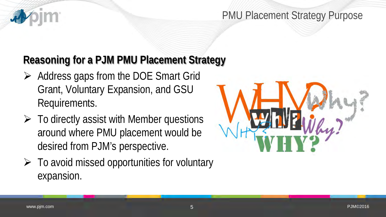#### PMU Placement Strategy Purpose

### **Reasoning for a PJM PMU Placement Strategy**

- $\triangleright$  Address gaps from the DOE Smart Grid Grant, Voluntary Expansion, and GSU Requirements.
- $\triangleright$  To directly assist with Member questions around where PMU placement would be desired from PJM's perspective.
- $\triangleright$  To avoid missed opportunities for voluntary expansion.

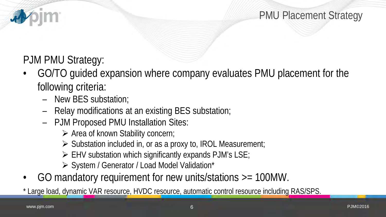

## PJM PMU Strategy:

- GO/TO guided expansion where company evaluates PMU placement for the following criteria:
	- New BES substation;
	- Relay modifications at an existing BES substation;
	- PJM Proposed PMU Installation Sites:
		- Area of known Stability concern;
		- $\triangleright$  Substation included in, or as a proxy to, IROL Measurement;
		- EHV substation which significantly expands PJM's LSE;
		- > System / Generator / Load Model Validation\*
- GO mandatory requirement for new units/stations >= 100MW.

\* Large load, dynamic VAR resource, HVDC resource, automatic control resource including RAS/SPS.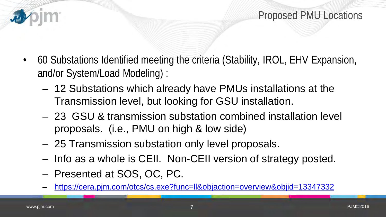- 60 Substations Identified meeting the criteria (Stability, IROL, EHV Expansion, and/or System/Load Modeling) :
	- 12 Substations which already have PMUs installations at the Transmission level, but looking for GSU installation.
	- 23 GSU & transmission substation combined installation level proposals. (i.e., PMU on high & low side)
	- 25 Transmission substation only level proposals.
	- Info as a whole is CEII. Non-CEII version of strategy posted.
	- Presented at SOS, OC, PC.
	- <https://cera.pjm.com/otcs/cs.exe?func=ll&objaction=overview&objid=13347332>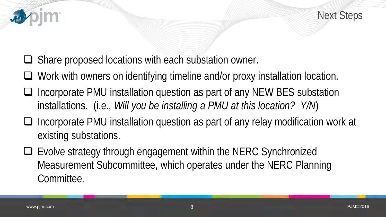



- $\Box$  Share proposed locations with each substation owner.
- □ Work with owners on identifying timeline and/or proxy installation location.
- $\Box$  Incorporate PMU installation question as part of any NEW BES substation installations. (i.e., *Will you be installing a PMU at this location? Y/N*)
- $\Box$  Incorporate PMU installation question as part of any relay modification work at existing substations.
- Evolve strategy through engagement within the NERC Synchronized Measurement Subcommittee, which operates under the NERC Planning Committee.